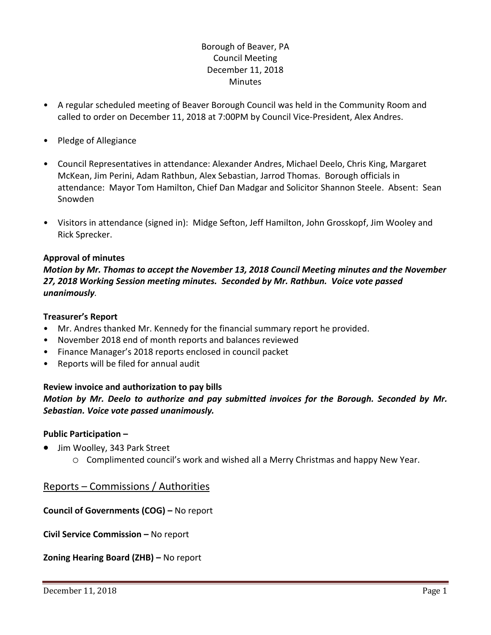# Borough of Beaver, PA Council Meeting December 11, 2018 **Minutes**

- A regular scheduled meeting of Beaver Borough Council was held in the Community Room and called to order on December 11, 2018 at 7:00PM by Council Vice-President, Alex Andres.
- Pledge of Allegiance
- Council Representatives in attendance: Alexander Andres, Michael Deelo, Chris King, Margaret McKean, Jim Perini, Adam Rathbun, Alex Sebastian, Jarrod Thomas. Borough officials in attendance: Mayor Tom Hamilton, Chief Dan Madgar and Solicitor Shannon Steele. Absent: Sean Snowden
- Visitors in attendance (signed in): Midge Sefton, Jeff Hamilton, John Grosskopf, Jim Wooley and Rick Sprecker.

# **Approval of minutes**

*Motion by Mr. Thomas to accept the November 13, 2018 Council Meeting minutes and the November 27, 2018 Working Session meeting minutes. Seconded by Mr. Rathbun. Voice vote passed unanimously.* 

## **Treasurer's Report**

- Mr. Andres thanked Mr. Kennedy for the financial summary report he provided.
- November 2018 end of month reports and balances reviewed
- Finance Manager's 2018 reports enclosed in council packet
- Reports will be filed for annual audit

## **Review invoice and authorization to pay bills**

*Motion by Mr. Deelo to authorize and pay submitted invoices for the Borough. Seconded by Mr. Sebastian. Voice vote passed unanimously.*

## **Public Participation –**

- Jim Woolley, 343 Park Street
	- o Complimented council's work and wished all a Merry Christmas and happy New Year.

# Reports – Commissions / Authorities

**Council of Governments (COG) –** No report

**Civil Service Commission –** No report

**Zoning Hearing Board (ZHB) –** No report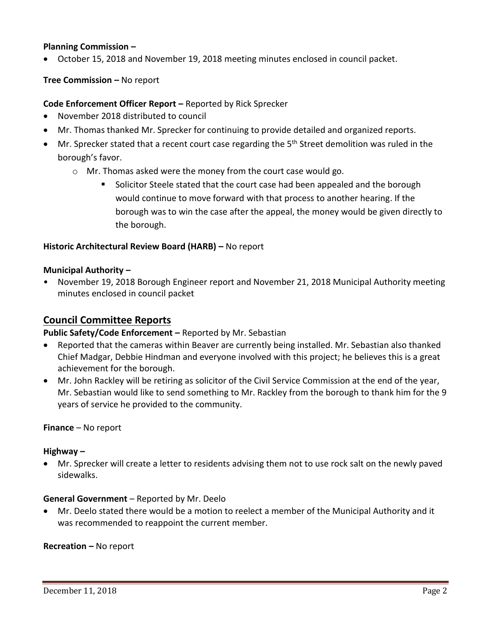# **Planning Commission –**

October 15, 2018 and November 19, 2018 meeting minutes enclosed in council packet.

#### **Tree Commission –** No report

## **Code Enforcement Officer Report –** Reported by Rick Sprecker

- November 2018 distributed to council
- Mr. Thomas thanked Mr. Sprecker for continuing to provide detailed and organized reports.
- Mr. Sprecker stated that a recent court case regarding the 5<sup>th</sup> Street demolition was ruled in the borough's favor.
	- o Mr. Thomas asked were the money from the court case would go.
		- Solicitor Steele stated that the court case had been appealed and the borough would continue to move forward with that process to another hearing. If the borough was to win the case after the appeal, the money would be given directly to the borough.

#### **Historic Architectural Review Board (HARB) –** No report

#### **Municipal Authority –**

• November 19, 2018 Borough Engineer report and November 21, 2018 Municipal Authority meeting minutes enclosed in council packet

# **Council Committee Reports**

#### **Public Safety/Code Enforcement –** Reported by Mr. Sebastian

- Reported that the cameras within Beaver are currently being installed. Mr. Sebastian also thanked Chief Madgar, Debbie Hindman and everyone involved with this project; he believes this is a great achievement for the borough.
- Mr. John Rackley will be retiring as solicitor of the Civil Service Commission at the end of the year, Mr. Sebastian would like to send something to Mr. Rackley from the borough to thank him for the 9 years of service he provided to the community.

#### **Finance** – No report

#### **Highway –**

 Mr. Sprecker will create a letter to residents advising them not to use rock salt on the newly paved sidewalks.

#### **General Government** – Reported by Mr. Deelo

 Mr. Deelo stated there would be a motion to reelect a member of the Municipal Authority and it was recommended to reappoint the current member.

#### **Recreation –** No report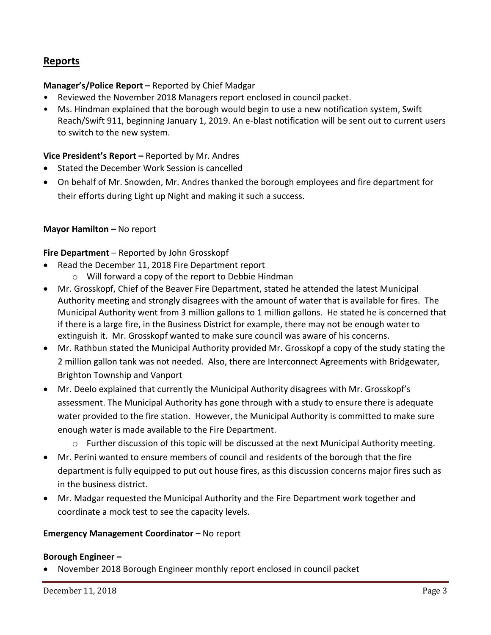# **Reports**

# **Manager's/Police Report –** Reported by Chief Madgar

- Reviewed the November 2018 Managers report enclosed in council packet.
- Ms. Hindman explained that the borough would begin to use a new notification system, Swift Reach/Swift 911, beginning January 1, 2019. An e-blast notification will be sent out to current users to switch to the new system.

## **Vice President's Report –** Reported by Mr. Andres

- Stated the December Work Session is cancelled
- On behalf of Mr. Snowden, Mr. Andres thanked the borough employees and fire department for their efforts during Light up Night and making it such a success.

#### **Mayor Hamilton - No report**

**Fire Department** – Reported by John Grosskopf

- Read the December 11, 2018 Fire Department report
	- o Will forward a copy of the report to Debbie Hindman
- Mr. Grosskopf, Chief of the Beaver Fire Department, stated he attended the latest Municipal Authority meeting and strongly disagrees with the amount of water that is available for fires. The Municipal Authority went from 3 million gallons to 1 million gallons. He stated he is concerned that if there is a large fire, in the Business District for example, there may not be enough water to extinguish it. Mr. Grosskopf wanted to make sure council was aware of his concerns.
- Mr. Rathbun stated the Municipal Authority provided Mr. Grosskopf a copy of the study stating the 2 million gallon tank was not needed. Also, there are Interconnect Agreements with Bridgewater, Brighton Township and Vanport
- Mr. Deelo explained that currently the Municipal Authority disagrees with Mr. Grosskopf's assessment. The Municipal Authority has gone through with a study to ensure there is adequate water provided to the fire station. However, the Municipal Authority is committed to make sure enough water is made available to the Fire Department.
	- o Further discussion of this topic will be discussed at the next Municipal Authority meeting.
- Mr. Perini wanted to ensure members of council and residents of the borough that the fire department is fully equipped to put out house fires, as this discussion concerns major fires such as in the business district.
- Mr. Madgar requested the Municipal Authority and the Fire Department work together and coordinate a mock test to see the capacity levels.

## **Emergency Management Coordinator - No report**

#### **Borough Engineer –**

November 2018 Borough Engineer monthly report enclosed in council packet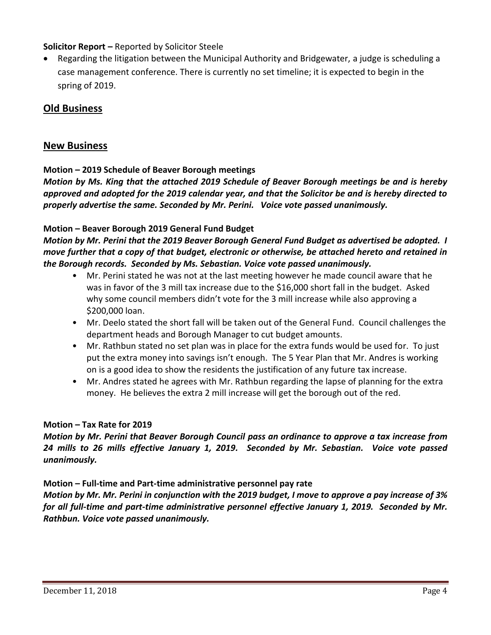# **Solicitor Report –** Reported by Solicitor Steele

 Regarding the litigation between the Municipal Authority and Bridgewater, a judge is scheduling a case management conference. There is currently no set timeline; it is expected to begin in the spring of 2019.

# **Old Business**

# **New Business**

# **Motion – 2019 Schedule of Beaver Borough meetings**

*Motion by Ms. King that the attached 2019 Schedule of Beaver Borough meetings be and is hereby approved and adopted for the 2019 calendar year, and that the Solicitor be and is hereby directed to properly advertise the same. Seconded by Mr. Perini. Voice vote passed unanimously.* 

# **Motion – Beaver Borough 2019 General Fund Budget**

*Motion by Mr. Perini that the 2019 Beaver Borough General Fund Budget as advertised be adopted. I move further that a copy of that budget, electronic or otherwise, be attached hereto and retained in the Borough records. Seconded by Ms. Sebastian. Voice vote passed unanimously.* 

- Mr. Perini stated he was not at the last meeting however he made council aware that he was in favor of the 3 mill tax increase due to the \$16,000 short fall in the budget. Asked why some council members didn't vote for the 3 mill increase while also approving a \$200,000 loan.
- Mr. Deelo stated the short fall will be taken out of the General Fund. Council challenges the department heads and Borough Manager to cut budget amounts.
- Mr. Rathbun stated no set plan was in place for the extra funds would be used for. To just put the extra money into savings isn't enough. The 5 Year Plan that Mr. Andres is working on is a good idea to show the residents the justification of any future tax increase.
- Mr. Andres stated he agrees with Mr. Rathbun regarding the lapse of planning for the extra money. He believes the extra 2 mill increase will get the borough out of the red.

## **Motion – Tax Rate for 2019**

*Motion by Mr. Perini that Beaver Borough Council pass an ordinance to approve a tax increase from 24 mills to 26 mills effective January 1, 2019. Seconded by Mr. Sebastian. Voice vote passed unanimously.* 

## **Motion – Full-time and Part-time administrative personnel pay rate**

*Motion by Mr. Mr. Perini in conjunction with the 2019 budget, I move to approve a pay increase of 3% for all full-time and part-time administrative personnel effective January 1, 2019. Seconded by Mr. Rathbun. Voice vote passed unanimously.*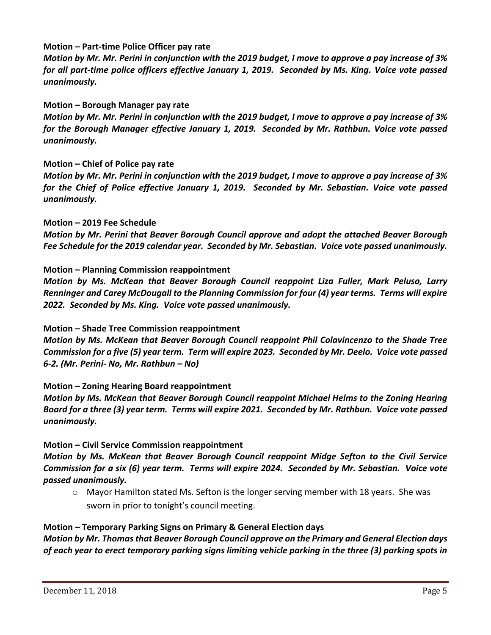## **Motion – Part-time Police Officer pay rate**

*Motion by Mr. Mr. Perini in conjunction with the 2019 budget, I move to approve a pay increase of 3% for all part-time police officers effective January 1, 2019. Seconded by Ms. King. Voice vote passed unanimously.* 

## **Motion – Borough Manager pay rate**

*Motion by Mr. Mr. Perini in conjunction with the 2019 budget, I move to approve a pay increase of 3% for the Borough Manager effective January 1, 2019. Seconded by Mr. Rathbun. Voice vote passed unanimously.* 

## **Motion – Chief of Police pay rate**

*Motion by Mr. Mr. Perini in conjunction with the 2019 budget, I move to approve a pay increase of 3% for the Chief of Police effective January 1, 2019. Seconded by Mr. Sebastian. Voice vote passed unanimously.* 

# **Motion – 2019 Fee Schedule**

*Motion by Mr. Perini that Beaver Borough Council approve and adopt the attached Beaver Borough Fee Schedule for the 2019 calendar year. Seconded by Mr. Sebastian. Voice vote passed unanimously.* 

# **Motion – Planning Commission reappointment**

*Motion by Ms. McKean that Beaver Borough Council reappoint Liza Fuller, Mark Peluso, Larry Renninger and Carey McDougall to the Planning Commission for four (4) year terms. Terms will expire 2022. Seconded by Ms. King. Voice vote passed unanimously.* 

## **Motion – Shade Tree Commission reappointment**

*Motion by Ms. McKean that Beaver Borough Council reappoint Phil Colavincenzo to the Shade Tree Commission for a five (5) year term. Term will expire 2023. Seconded by Mr. Deelo. Voice vote passed 6-2. (Mr. Perini- No, Mr. Rathbun – No)* 

## **Motion – Zoning Hearing Board reappointment**

*Motion by Ms. McKean that Beaver Borough Council reappoint Michael Helms to the Zoning Hearing Board for a three (3) year term. Terms will expire 2021. Seconded by Mr. Rathbun. Voice vote passed unanimously.* 

## **Motion – Civil Service Commission reappointment**

*Motion by Ms. McKean that Beaver Borough Council reappoint Midge Sefton to the Civil Service Commission for a six (6) year term. Terms will expire 2024. Seconded by Mr. Sebastian. Voice vote passed unanimously.* 

o Mayor Hamilton stated Ms. Sefton is the longer serving member with 18 years. She was sworn in prior to tonight's council meeting.

## **Motion – Temporary Parking Signs on Primary & General Election days**

*Motion by Mr. Thomasthat Beaver Borough Council approve on the Primary and General Election days of each year to erect temporary parking signs limiting vehicle parking in the three (3) parking spots in*